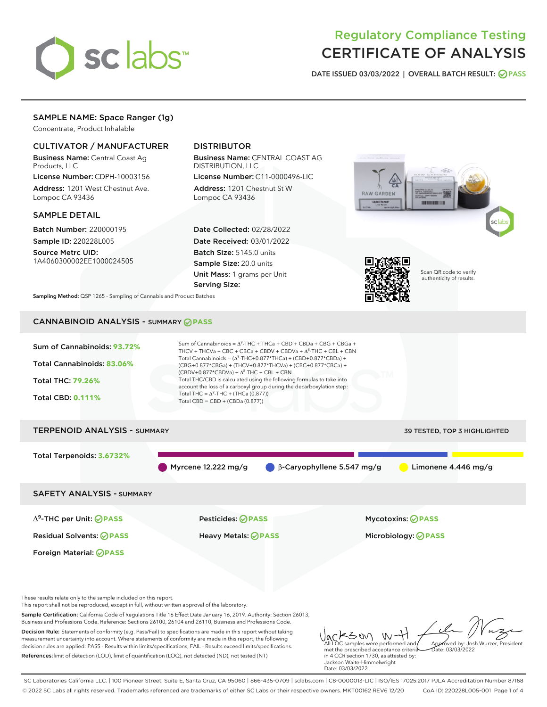

# Regulatory Compliance Testing CERTIFICATE OF ANALYSIS

DATE ISSUED 03/03/2022 | OVERALL BATCH RESULT: @ PASS

# SAMPLE NAME: Space Ranger (1g)

Concentrate, Product Inhalable

# CULTIVATOR / MANUFACTURER

Business Name: Central Coast Ag Products, LLC

License Number: CDPH-10003156 Address: 1201 West Chestnut Ave. Lompoc CA 93436

#### SAMPLE DETAIL

Batch Number: 220000195 Sample ID: 220228L005

Source Metrc UID: 1A4060300002EE1000024505

# DISTRIBUTOR

Business Name: CENTRAL COAST AG DISTRIBUTION, LLC

License Number: C11-0000496-LIC Address: 1201 Chestnut St W Lompoc CA 93436

Date Collected: 02/28/2022 Date Received: 03/01/2022 Batch Size: 5145.0 units Sample Size: 20.0 units Unit Mass: 1 grams per Unit Serving Size:





Scan QR code to verify authenticity of results.

Sampling Method: QSP 1265 - Sampling of Cannabis and Product Batches

# CANNABINOID ANALYSIS - SUMMARY **PASS**



These results relate only to the sample included on this report.

This report shall not be reproduced, except in full, without written approval of the laboratory.

Sample Certification: California Code of Regulations Title 16 Effect Date January 16, 2019. Authority: Section 26013, Business and Professions Code. Reference: Sections 26100, 26104 and 26110, Business and Professions Code.

Decision Rule: Statements of conformity (e.g. Pass/Fail) to specifications are made in this report without taking measurement uncertainty into account. Where statements of conformity are made in this report, the following decision rules are applied: PASS - Results within limits/specifications, FAIL - Results exceed limits/specifications. References:limit of detection (LOD), limit of quantification (LOQ), not detected (ND), not tested (NT)

メンめ - W All LQC samples were performed and Approved by: Josh Wurzer, President met the prescribed acceptance criteria  $hat: 03/03/2022$ in 4 CCR section 1730, as attested by: Jackson Waite-Himmelwright

SC Laboratories California LLC. | 100 Pioneer Street, Suite E, Santa Cruz, CA 95060 | 866-435-0709 | sclabs.com | C8-0000013-LIC | ISO/IES 17025:2017 PJLA Accreditation Number 87168 © 2022 SC Labs all rights reserved. Trademarks referenced are trademarks of either SC Labs or their respective owners. MKT00162 REV6 12/20 CoA ID: 220228L005-001 Page 1 of 4

Date: 03/03/2022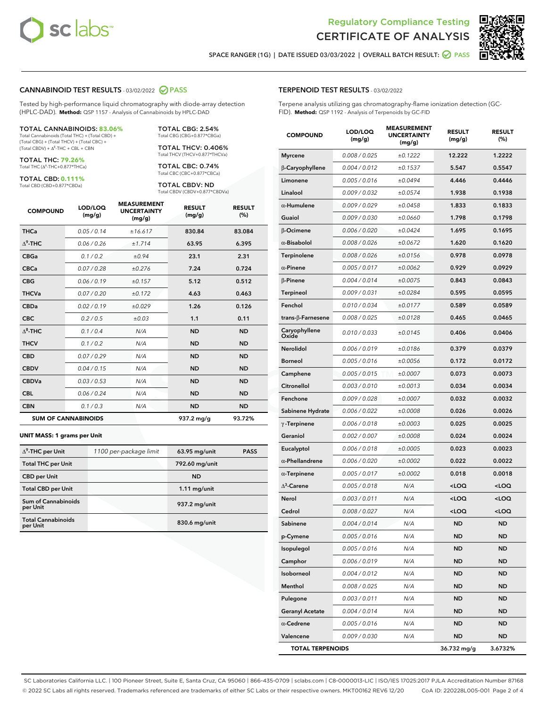



SPACE RANGER (1G) | DATE ISSUED 03/03/2022 | OVERALL BATCH RESULT: @ PASS

# CANNABINOID TEST RESULTS - 03/02/2022 2 PASS

Tested by high-performance liquid chromatography with diode-array detection (HPLC-DAD). **Method:** QSP 1157 - Analysis of Cannabinoids by HPLC-DAD

#### TOTAL CANNABINOIDS: **83.06%**

Total Cannabinoids (Total THC) + (Total CBD) + (Total CBG) + (Total THCV) + (Total CBC) +  $(Total CBDV) +  $\Delta^8$ -THC + CBL + CBN$ 

TOTAL THC: **79.26%** Total THC (Δ<sup>9</sup>-THC+0.877\*THCa)

TOTAL CBD: **0.111%**

Total CBD (CBD+0.877\*CBDa)

TOTAL CBG: 2.54% Total CBG (CBG+0.877\*CBGa)

TOTAL THCV: 0.406% Total THCV (THCV+0.877\*THCVa)

TOTAL CBC: 0.74% Total CBC (CBC+0.877\*CBCa)

TOTAL CBDV: ND Total CBDV (CBDV+0.877\*CBDVa)

| <b>COMPOUND</b>  | LOD/LOQ<br>(mg/g)          | <b>MEASUREMENT</b><br><b>UNCERTAINTY</b><br>(mg/g) | <b>RESULT</b><br>(mg/g) | <b>RESULT</b><br>(%) |
|------------------|----------------------------|----------------------------------------------------|-------------------------|----------------------|
| <b>THCa</b>      | 0.05/0.14                  | ±16.617                                            | 830.84                  | 83.084               |
| $\Delta^9$ -THC  | 0.06 / 0.26                | ±1.714                                             | 63.95                   | 6.395                |
| <b>CBGa</b>      | 0.1/0.2                    | ±0.94                                              | 23.1                    | 2.31                 |
| <b>CBCa</b>      | 0.07/0.28                  | ±0.276                                             | 7.24                    | 0.724                |
| <b>CBG</b>       | 0.06/0.19                  | ±0.157                                             | 5.12                    | 0.512                |
| <b>THCVa</b>     | 0.07/0.20                  | ±0.172                                             | 4.63                    | 0.463                |
| <b>CBDa</b>      | 0.02/0.19                  | ±0.029                                             | 1.26                    | 0.126                |
| <b>CBC</b>       | 0.2 / 0.5                  | ±0.03                                              | 1.1                     | 0.11                 |
| $\Lambda^8$ -THC | 0.1 / 0.4                  | N/A                                                | <b>ND</b>               | <b>ND</b>            |
| <b>THCV</b>      | 0.1 / 0.2                  | N/A                                                | <b>ND</b>               | <b>ND</b>            |
| <b>CBD</b>       | 0.07/0.29                  | N/A                                                | <b>ND</b>               | <b>ND</b>            |
| <b>CBDV</b>      | 0.04 / 0.15                | N/A                                                | <b>ND</b>               | <b>ND</b>            |
| <b>CBDVa</b>     | 0.03 / 0.53                | N/A                                                | <b>ND</b>               | <b>ND</b>            |
| <b>CBL</b>       | 0.06 / 0.24                | N/A                                                | <b>ND</b>               | <b>ND</b>            |
| <b>CBN</b>       | 0.1/0.3                    | N/A                                                | <b>ND</b>               | <b>ND</b>            |
|                  | <b>SUM OF CANNABINOIDS</b> |                                                    | 937.2 mg/g              | 93.72%               |

#### **UNIT MASS: 1 grams per Unit**

| $\Delta^9$ -THC per Unit              | 1100 per-package limit | 63.95 mg/unit   | <b>PASS</b> |
|---------------------------------------|------------------------|-----------------|-------------|
| <b>Total THC per Unit</b>             |                        | 792.60 mg/unit  |             |
| <b>CBD</b> per Unit                   |                        | <b>ND</b>       |             |
| <b>Total CBD per Unit</b>             |                        | $1.11$ mg/unit  |             |
| Sum of Cannabinoids<br>per Unit       |                        | 937.2 mg/unit   |             |
| <b>Total Cannabinoids</b><br>per Unit |                        | $830.6$ mg/unit |             |

#### TERPENOID TEST RESULTS - 03/02/2022

Terpene analysis utilizing gas chromatography-flame ionization detection (GC-FID). **Method:** QSP 1192 - Analysis of Terpenoids by GC-FID

| <b>COMPOUND</b>         | LOD/LOQ<br>(mg/g) | <b>MEASUREMENT</b><br><b>UNCERTAINTY</b><br>(mg/g) | <b>RESULT</b><br>(mg/g)                         | <b>RESULT</b><br>(%) |
|-------------------------|-------------------|----------------------------------------------------|-------------------------------------------------|----------------------|
| <b>Myrcene</b>          | 0.008 / 0.025     | ±0.1222                                            | 12.222                                          | 1.2222               |
| β-Caryophyllene         | 0.004 / 0.012     | ±0.1537                                            | 5.547                                           | 0.5547               |
| Limonene                | 0.005 / 0.016     | ±0.0494                                            | 4.446                                           | 0.4446               |
| Linalool                | 0.009 / 0.032     | ±0.0574                                            | 1.938                                           | 0.1938               |
| $\alpha$ -Humulene      | 0.009/0.029       | ±0.0458                                            | 1.833                                           | 0.1833               |
| Guaiol                  | 0.009 / 0.030     | ±0.0660                                            | 1.798                                           | 0.1798               |
| β-Ocimene               | 0.006 / 0.020     | ±0.0424                                            | 1.695                                           | 0.1695               |
| $\alpha$ -Bisabolol     | 0.008 / 0.026     | ±0.0672                                            | 1.620                                           | 0.1620               |
| Terpinolene             | 0.008 / 0.026     | ±0.0156                                            | 0.978                                           | 0.0978               |
| $\alpha$ -Pinene        | 0.005 / 0.017     | ±0.0062                                            | 0.929                                           | 0.0929               |
| $\beta$ -Pinene         | 0.004 / 0.014     | ±0.0075                                            | 0.843                                           | 0.0843               |
| <b>Terpineol</b>        | 0.009 / 0.031     | ±0.0284                                            | 0.595                                           | 0.0595               |
| Fenchol                 | 0.010 / 0.034     | ±0.0177                                            | 0.589                                           | 0.0589               |
| trans-β-Farnesene       | 0.008 / 0.025     | ±0.0128                                            | 0.465                                           | 0.0465               |
| Caryophyllene<br>Oxide  | 0.010 / 0.033     | ±0.0145                                            | 0.406                                           | 0.0406               |
| Nerolidol               | 0.006 / 0.019     | ±0.0186                                            | 0.379                                           | 0.0379               |
| Borneol                 | 0.005 / 0.016     | ±0.0056                                            | 0.172                                           | 0.0172               |
| Camphene                | 0.005 / 0.015     | ±0.0007                                            | 0.073                                           | 0.0073               |
| Citronellol             | 0.003 / 0.010     | ±0.0013                                            | 0.034                                           | 0.0034               |
| Fenchone                | 0.009 / 0.028     | ±0.0007                                            | 0.032                                           | 0.0032               |
| Sabinene Hydrate        | 0.006 / 0.022     | ±0.0008                                            | 0.026                                           | 0.0026               |
| $\gamma$ -Terpinene     | 0.006 / 0.018     | ±0.0003                                            | 0.025                                           | 0.0025               |
| Geraniol                | 0.002 / 0.007     | ±0.0008                                            | 0.024                                           | 0.0024               |
| Eucalyptol              | 0.006 / 0.018     | ±0.0005                                            | 0.023                                           | 0.0023               |
| $\alpha$ -Phellandrene  | 0.006 / 0.020     | ±0.0002                                            | 0.022                                           | 0.0022               |
| $\alpha$ -Terpinene     | 0.005 / 0.017     | ±0.0002                                            | 0.018                                           | 0.0018               |
| $\Delta^3$ -Carene      | 0.005 / 0.018     | N/A                                                | <loq< th=""><th><loq< th=""></loq<></th></loq<> | <loq< th=""></loq<>  |
| Nerol                   | 0.003 / 0.011     | N/A                                                | <loq< th=""><th><loq< th=""></loq<></th></loq<> | <loq< th=""></loq<>  |
| Cedrol                  | 0.008 / 0.027     | N/A                                                | <loq< th=""><th><loq< th=""></loq<></th></loq<> | <loq< th=""></loq<>  |
| Sabinene                | 0.004 / 0.014     | N/A                                                | <b>ND</b>                                       | <b>ND</b>            |
| p-Cymene                | 0.005 / 0.016     | N/A                                                | ND                                              | ND                   |
| Isopulegol              | 0.005 / 0.016     | N/A                                                | <b>ND</b>                                       | <b>ND</b>            |
| Camphor                 | 0.006 / 0.019     | N/A                                                | <b>ND</b>                                       | <b>ND</b>            |
| Isoborneol              | 0.004 / 0.012     | N/A                                                | ND                                              | ND                   |
| Menthol                 | 0.008 / 0.025     | N/A                                                | ND                                              | <b>ND</b>            |
| Pulegone                | 0.003 / 0.011     | N/A                                                | <b>ND</b>                                       | <b>ND</b>            |
| <b>Geranyl Acetate</b>  | 0.004 / 0.014     | N/A                                                | ND                                              | ND                   |
| $\alpha$ -Cedrene       | 0.005 / 0.016     | N/A                                                | ND                                              | <b>ND</b>            |
| Valencene               | 0.009 / 0.030     | N/A                                                | <b>ND</b>                                       | ND                   |
| <b>TOTAL TERPENOIDS</b> |                   |                                                    | 36.732 mg/g                                     | 3.6732%              |

SC Laboratories California LLC. | 100 Pioneer Street, Suite E, Santa Cruz, CA 95060 | 866-435-0709 | sclabs.com | C8-0000013-LIC | ISO/IES 17025:2017 PJLA Accreditation Number 87168 © 2022 SC Labs all rights reserved. Trademarks referenced are trademarks of either SC Labs or their respective owners. MKT00162 REV6 12/20 CoA ID: 220228L005-001 Page 2 of 4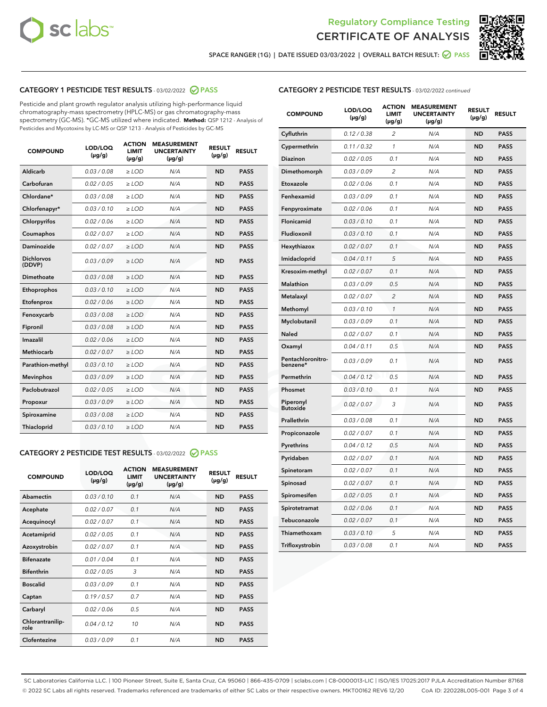



SPACE RANGER (1G) | DATE ISSUED 03/03/2022 | OVERALL BATCH RESULT: @ PASS

# CATEGORY 1 PESTICIDE TEST RESULTS - 03/02/2022 2 PASS

Pesticide and plant growth regulator analysis utilizing high-performance liquid chromatography-mass spectrometry (HPLC-MS) or gas chromatography-mass spectrometry (GC-MS). \*GC-MS utilized where indicated. **Method:** QSP 1212 - Analysis of Pesticides and Mycotoxins by LC-MS or QSP 1213 - Analysis of Pesticides by GC-MS

| <b>COMPOUND</b>             | LOD/LOQ<br>$(\mu g/g)$ | <b>ACTION</b><br><b>LIMIT</b><br>$(\mu g/g)$ | <b>MEASUREMENT</b><br><b>UNCERTAINTY</b><br>$(\mu g/g)$ | <b>RESULT</b><br>$(\mu g/g)$ | <b>RESULT</b> |
|-----------------------------|------------------------|----------------------------------------------|---------------------------------------------------------|------------------------------|---------------|
| Aldicarb                    | 0.03 / 0.08            | $\ge$ LOD                                    | N/A                                                     | <b>ND</b>                    | <b>PASS</b>   |
| Carbofuran                  | 0.02 / 0.05            | $\ge$ LOD                                    | N/A                                                     | <b>ND</b>                    | <b>PASS</b>   |
| Chlordane*                  | 0.03 / 0.08            | $\ge$ LOD                                    | N/A                                                     | <b>ND</b>                    | <b>PASS</b>   |
| Chlorfenapyr*               | 0.03/0.10              | ≥ LOD                                        | N/A                                                     | <b>ND</b>                    | <b>PASS</b>   |
| Chlorpyrifos                | 0.02/0.06              | $>$ LOD                                      | N/A                                                     | <b>ND</b>                    | <b>PASS</b>   |
| Coumaphos                   | 0.02 / 0.07            | $\geq$ LOD                                   | N/A                                                     | <b>ND</b>                    | <b>PASS</b>   |
| Daminozide                  | 0.02 / 0.07            | $\ge$ LOD                                    | N/A                                                     | <b>ND</b>                    | <b>PASS</b>   |
| <b>Dichlorvos</b><br>(DDVP) | 0.03/0.09              | $>$ LOD                                      | N/A                                                     | <b>ND</b>                    | <b>PASS</b>   |
| Dimethoate                  | 0.03 / 0.08            | $>$ LOD                                      | N/A                                                     | <b>ND</b>                    | <b>PASS</b>   |
| Ethoprophos                 | 0.03/0.10              | $\geq$ LOD                                   | N/A                                                     | <b>ND</b>                    | <b>PASS</b>   |
| Etofenprox                  | 0.02 / 0.06            | $\geq$ LOD                                   | N/A                                                     | <b>ND</b>                    | <b>PASS</b>   |
| Fenoxycarb                  | 0.03 / 0.08            | $\geq$ LOD                                   | N/A                                                     | <b>ND</b>                    | <b>PASS</b>   |
| Fipronil                    | 0.03 / 0.08            | $\geq$ LOD                                   | N/A                                                     | <b>ND</b>                    | <b>PASS</b>   |
| Imazalil                    | 0.02 / 0.06            | $>$ LOD                                      | N/A                                                     | <b>ND</b>                    | <b>PASS</b>   |
| <b>Methiocarb</b>           | 0.02 / 0.07            | $>$ LOD                                      | N/A                                                     | <b>ND</b>                    | <b>PASS</b>   |
| Parathion-methyl            | 0.03/0.10              | $\geq$ LOD                                   | N/A                                                     | <b>ND</b>                    | <b>PASS</b>   |
| <b>Mevinphos</b>            | 0.03/0.09              | $\ge$ LOD                                    | N/A                                                     | <b>ND</b>                    | <b>PASS</b>   |
| Paclobutrazol               | 0.02 / 0.05            | $\geq$ LOD                                   | N/A                                                     | <b>ND</b>                    | <b>PASS</b>   |
| Propoxur                    | 0.03/0.09              | $>$ LOD                                      | N/A                                                     | <b>ND</b>                    | <b>PASS</b>   |
| Spiroxamine                 | 0.03 / 0.08            | $\ge$ LOD                                    | N/A                                                     | <b>ND</b>                    | <b>PASS</b>   |
| <b>Thiacloprid</b>          | 0.03/0.10              | $\ge$ LOD                                    | N/A                                                     | <b>ND</b>                    | <b>PASS</b>   |

# CATEGORY 2 PESTICIDE TEST RESULTS - 03/02/2022 @ PASS

| <b>COMPOUND</b>          | LOD/LOQ<br>$(\mu g/g)$ | <b>ACTION</b><br><b>LIMIT</b><br>$(\mu g/g)$ | <b>MEASUREMENT</b><br><b>UNCERTAINTY</b><br>$(\mu g/g)$ | <b>RESULT</b><br>$(\mu g/g)$ | <b>RESULT</b> |  |
|--------------------------|------------------------|----------------------------------------------|---------------------------------------------------------|------------------------------|---------------|--|
| Abamectin                | 0.03/0.10              | 0.1                                          | N/A                                                     | <b>ND</b>                    | <b>PASS</b>   |  |
| Acephate                 | 0.02/0.07              | 0.1                                          | N/A                                                     | <b>ND</b>                    | <b>PASS</b>   |  |
| Acequinocyl              | 0.02/0.07              | 0.1                                          | N/A                                                     | <b>ND</b>                    | <b>PASS</b>   |  |
| Acetamiprid              | 0.02/0.05              | 0.1                                          | N/A                                                     | <b>ND</b>                    | <b>PASS</b>   |  |
| Azoxystrobin             | 0.02/0.07              | 0.1                                          | N/A                                                     | <b>ND</b>                    | <b>PASS</b>   |  |
| <b>Bifenazate</b>        | 0.01/0.04              | 0.1                                          | N/A                                                     | <b>ND</b>                    | <b>PASS</b>   |  |
| <b>Bifenthrin</b>        | 0.02 / 0.05            | 3                                            | N/A                                                     | <b>ND</b>                    | <b>PASS</b>   |  |
| <b>Boscalid</b>          | 0.03/0.09              | 0.1                                          | N/A                                                     | <b>ND</b>                    | <b>PASS</b>   |  |
| Captan                   | 0.19/0.57              | 0.7                                          | N/A                                                     | <b>ND</b>                    | <b>PASS</b>   |  |
| Carbaryl                 | 0.02/0.06              | 0.5                                          | N/A                                                     | <b>ND</b>                    | <b>PASS</b>   |  |
| Chlorantranilip-<br>role | 0.04/0.12              | 10                                           | N/A                                                     | <b>ND</b>                    | <b>PASS</b>   |  |
| Clofentezine             | 0.03/0.09              | 0.1                                          | N/A                                                     | <b>ND</b>                    | <b>PASS</b>   |  |

| <b>CATEGORY 2 PESTICIDE TEST RESULTS</b> - 03/02/2022 continued |
|-----------------------------------------------------------------|
|-----------------------------------------------------------------|

| <b>COMPOUND</b>               | LOD/LOQ<br>(µg/g) | <b>ACTION</b><br><b>LIMIT</b><br>(µg/g) | <b>MEASUREMENT</b><br><b>UNCERTAINTY</b><br>$(\mu g/g)$ | <b>RESULT</b><br>(µg/g) | <b>RESULT</b> |
|-------------------------------|-------------------|-----------------------------------------|---------------------------------------------------------|-------------------------|---------------|
| Cyfluthrin                    | 0.12 / 0.38       | $\overline{c}$                          | N/A                                                     | <b>ND</b>               | <b>PASS</b>   |
| Cypermethrin                  | 0.11 / 0.32       | 1                                       | N/A                                                     | <b>ND</b>               | <b>PASS</b>   |
| <b>Diazinon</b>               | 0.02 / 0.05       | 0.1                                     | N/A                                                     | <b>ND</b>               | <b>PASS</b>   |
| Dimethomorph                  | 0.03 / 0.09       | 2                                       | N/A                                                     | <b>ND</b>               | <b>PASS</b>   |
| Etoxazole                     | 0.02 / 0.06       | 0.1                                     | N/A                                                     | <b>ND</b>               | <b>PASS</b>   |
| Fenhexamid                    | 0.03 / 0.09       | 0.1                                     | N/A                                                     | <b>ND</b>               | <b>PASS</b>   |
| Fenpyroximate                 | 0.02 / 0.06       | 0.1                                     | N/A                                                     | <b>ND</b>               | <b>PASS</b>   |
| Flonicamid                    | 0.03 / 0.10       | 0.1                                     | N/A                                                     | <b>ND</b>               | <b>PASS</b>   |
| Fludioxonil                   | 0.03 / 0.10       | 0.1                                     | N/A                                                     | <b>ND</b>               | <b>PASS</b>   |
| Hexythiazox                   | 0.02 / 0.07       | 0.1                                     | N/A                                                     | <b>ND</b>               | <b>PASS</b>   |
| Imidacloprid                  | 0.04 / 0.11       | 5                                       | N/A                                                     | <b>ND</b>               | <b>PASS</b>   |
| Kresoxim-methyl               | 0.02 / 0.07       | 0.1                                     | N/A                                                     | <b>ND</b>               | <b>PASS</b>   |
| Malathion                     | 0.03 / 0.09       | 0.5                                     | N/A                                                     | <b>ND</b>               | <b>PASS</b>   |
| Metalaxyl                     | 0.02 / 0.07       | $\overline{c}$                          | N/A                                                     | <b>ND</b>               | <b>PASS</b>   |
| Methomyl                      | 0.03 / 0.10       | 1                                       | N/A                                                     | <b>ND</b>               | <b>PASS</b>   |
| Myclobutanil                  | 0.03 / 0.09       | 0.1                                     | N/A                                                     | <b>ND</b>               | <b>PASS</b>   |
| Naled                         | 0.02 / 0.07       | 0.1                                     | N/A                                                     | <b>ND</b>               | <b>PASS</b>   |
| Oxamyl                        | 0.04 / 0.11       | 0.5                                     | N/A                                                     | <b>ND</b>               | <b>PASS</b>   |
| Pentachloronitro-<br>benzene* | 0.03 / 0.09       | 0.1                                     | N/A                                                     | <b>ND</b>               | <b>PASS</b>   |
| Permethrin                    | 0.04 / 0.12       | 0.5                                     | N/A                                                     | <b>ND</b>               | <b>PASS</b>   |
| Phosmet                       | 0.03 / 0.10       | 0.1                                     | N/A                                                     | <b>ND</b>               | <b>PASS</b>   |
| Piperonyl<br><b>Butoxide</b>  | 0.02 / 0.07       | 3                                       | N/A                                                     | <b>ND</b>               | <b>PASS</b>   |
| Prallethrin                   | 0.03 / 0.08       | 0.1                                     | N/A                                                     | <b>ND</b>               | <b>PASS</b>   |
| Propiconazole                 | 0.02 / 0.07       | 0.1                                     | N/A                                                     | <b>ND</b>               | <b>PASS</b>   |
| Pyrethrins                    | 0.04 / 0.12       | 0.5                                     | N/A                                                     | <b>ND</b>               | <b>PASS</b>   |
| Pyridaben                     | 0.02 / 0.07       | 0.1                                     | N/A                                                     | <b>ND</b>               | <b>PASS</b>   |
| Spinetoram                    | 0.02 / 0.07       | 0.1                                     | N/A                                                     | <b>ND</b>               | <b>PASS</b>   |
| Spinosad                      | 0.02 / 0.07       | 0.1                                     | N/A                                                     | <b>ND</b>               | <b>PASS</b>   |
| Spiromesifen                  | 0.02 / 0.05       | 0.1                                     | N/A                                                     | <b>ND</b>               | <b>PASS</b>   |
| Spirotetramat                 | 0.02 / 0.06       | 0.1                                     | N/A                                                     | <b>ND</b>               | <b>PASS</b>   |
| Tebuconazole                  | 0.02 / 0.07       | 0.1                                     | N/A                                                     | <b>ND</b>               | <b>PASS</b>   |
| Thiamethoxam                  | 0.03 / 0.10       | 5                                       | N/A                                                     | <b>ND</b>               | <b>PASS</b>   |
| Trifloxystrobin               | 0.03 / 0.08       | 0.1                                     | N/A                                                     | <b>ND</b>               | <b>PASS</b>   |

SC Laboratories California LLC. | 100 Pioneer Street, Suite E, Santa Cruz, CA 95060 | 866-435-0709 | sclabs.com | C8-0000013-LIC | ISO/IES 17025:2017 PJLA Accreditation Number 87168 © 2022 SC Labs all rights reserved. Trademarks referenced are trademarks of either SC Labs or their respective owners. MKT00162 REV6 12/20 CoA ID: 220228L005-001 Page 3 of 4